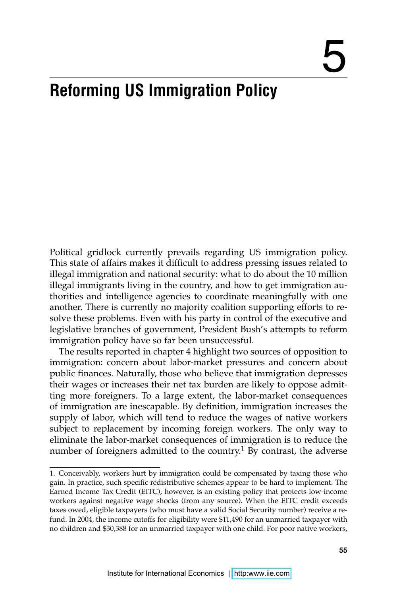# 5

# **Reforming US Immigration Policy**

Political gridlock currently prevails regarding US immigration policy. This state of affairs makes it difficult to address pressing issues related to illegal immigration and national security: what to do about the 10 million illegal immigrants living in the country, and how to get immigration authorities and intelligence agencies to coordinate meaningfully with one another. There is currently no majority coalition supporting efforts to resolve these problems. Even with his party in control of the executive and legislative branches of government, President Bush's attempts to reform immigration policy have so far been unsuccessful.

The results reported in chapter 4 highlight two sources of opposition to immigration: concern about labor-market pressures and concern about public finances. Naturally, those who believe that immigration depresses their wages or increases their net tax burden are likely to oppose admitting more foreigners. To a large extent, the labor-market consequences of immigration are inescapable. By definition, immigration increases the supply of labor, which will tend to reduce the wages of native workers subject to replacement by incoming foreign workers. The only way to eliminate the labor-market consequences of immigration is to reduce the number of foreigners admitted to the country.<sup>1</sup> By contrast, the adverse

<sup>1.</sup> Conceivably, workers hurt by immigration could be compensated by taxing those who gain. In practice, such specific redistributive schemes appear to be hard to implement. The Earned Income Tax Credit (EITC), however, is an existing policy that protects low-income workers against negative wage shocks (from any source). When the EITC credit exceeds taxes owed, eligible taxpayers (who must have a valid Social Security number) receive a refund. In 2004, the income cutoffs for eligibility were \$11,490 for an unmarried taxpayer with no children and \$30,388 for an unmarried taxpayer with one child. For poor native workers,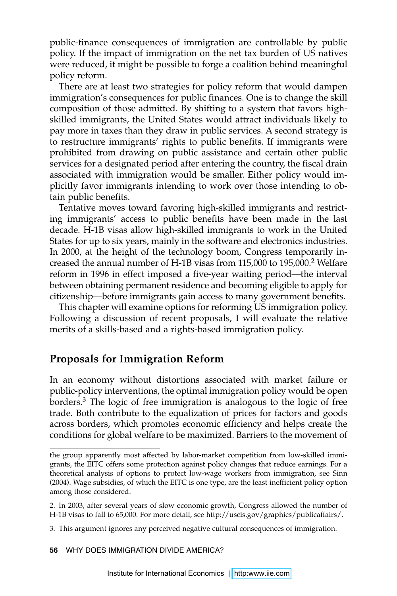public-finance consequences of immigration are controllable by public policy. If the impact of immigration on the net tax burden of US natives were reduced, it might be possible to forge a coalition behind meaningful policy reform.

There are at least two strategies for policy reform that would dampen immigration's consequences for public finances. One is to change the skill composition of those admitted. By shifting to a system that favors highskilled immigrants, the United States would attract individuals likely to pay more in taxes than they draw in public services. A second strategy is to restructure immigrants' rights to public benefits. If immigrants were prohibited from drawing on public assistance and certain other public services for a designated period after entering the country, the fiscal drain associated with immigration would be smaller. Either policy would implicitly favor immigrants intending to work over those intending to obtain public benefits.

Tentative moves toward favoring high-skilled immigrants and restricting immigrants' access to public benefits have been made in the last decade. H-1B visas allow high-skilled immigrants to work in the United States for up to six years, mainly in the software and electronics industries. In 2000, at the height of the technology boom, Congress temporarily increased the annual number of H-1B visas from 115,000 to 195,000.<sup>2</sup> Welfare reform in 1996 in effect imposed a five-year waiting period—the interval between obtaining permanent residence and becoming eligible to apply for citizenship—before immigrants gain access to many government benefits.

This chapter will examine options for reforming US immigration policy. Following a discussion of recent proposals, I will evaluate the relative merits of a skills-based and a rights-based immigration policy.

# **Proposals for Immigration Reform**

In an economy without distortions associated with market failure or public-policy interventions, the optimal immigration policy would be open borders.<sup>3</sup> The logic of free immigration is analogous to the logic of free trade. Both contribute to the equalization of prices for factors and goods across borders, which promotes economic efficiency and helps create the conditions for global welfare to be maximized. Barriers to the movement of

the group apparently most affected by labor-market competition from low-skilled immigrants, the EITC offers some protection against policy changes that reduce earnings. For a theoretical analysis of options to protect low-wage workers from immigration, see Sinn (2004). Wage subsidies, of which the EITC is one type, are the least inefficient policy option among those considered.

<sup>2.</sup> In 2003, after several years of slow economic growth, Congress allowed the number of H-1B visas to fall to 65,000. For more detail, see http://uscis.gov/graphics/publicaffairs/.

<sup>3.</sup> This argument ignores any perceived negative cultural consequences of immigration.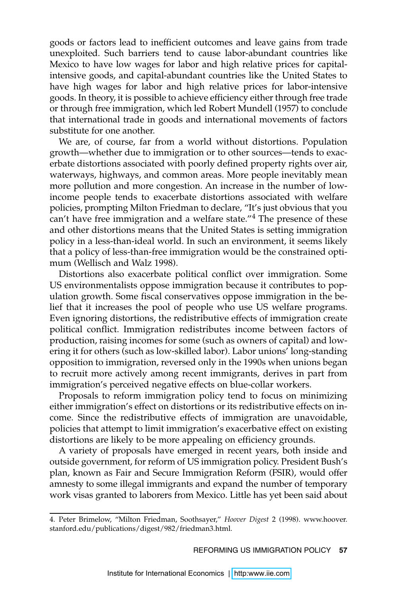goods or factors lead to inefficient outcomes and leave gains from trade unexploited. Such barriers tend to cause labor-abundant countries like Mexico to have low wages for labor and high relative prices for capitalintensive goods, and capital-abundant countries like the United States to have high wages for labor and high relative prices for labor-intensive goods. In theory, it is possible to achieve efficiency either through free trade or through free immigration, which led Robert Mundell (1957) to conclude that international trade in goods and international movements of factors substitute for one another.

We are, of course, far from a world without distortions. Population growth—whether due to immigration or to other sources—tends to exacerbate distortions associated with poorly defined property rights over air, waterways, highways, and common areas. More people inevitably mean more pollution and more congestion. An increase in the number of lowincome people tends to exacerbate distortions associated with welfare policies, prompting Milton Friedman to declare, "It's just obvious that you can't have free immigration and a welfare state."<sup>4</sup> The presence of these and other distortions means that the United States is setting immigration policy in a less-than-ideal world. In such an environment, it seems likely that a policy of less-than-free immigration would be the constrained optimum (Wellisch and Walz 1998).

Distortions also exacerbate political conflict over immigration. Some US environmentalists oppose immigration because it contributes to population growth. Some fiscal conservatives oppose immigration in the belief that it increases the pool of people who use US welfare programs. Even ignoring distortions, the redistributive effects of immigration create political conflict. Immigration redistributes income between factors of production, raising incomes for some (such as owners of capital) and lowering it for others (such as low-skilled labor). Labor unions' long-standing opposition to immigration, reversed only in the 1990s when unions began to recruit more actively among recent immigrants, derives in part from immigration's perceived negative effects on blue-collar workers.

Proposals to reform immigration policy tend to focus on minimizing either immigration's effect on distortions or its redistributive effects on income. Since the redistributive effects of immigration are unavoidable, policies that attempt to limit immigration's exacerbative effect on existing distortions are likely to be more appealing on efficiency grounds.

A variety of proposals have emerged in recent years, both inside and outside government, for reform of US immigration policy. President Bush's plan, known as Fair and Secure Immigration Reform (FSIR), would offer amnesty to some illegal immigrants and expand the number of temporary work visas granted to laborers from Mexico. Little has yet been said about

REFORMING US IMMIGRATION POLICY **57** 

<sup>4.</sup> Peter Brimelow, "Milton Friedman, Soothsayer," *Hoover Digest* 2 (1998). www.hoover. stanford.edu/publications/digest/982/friedman3.html.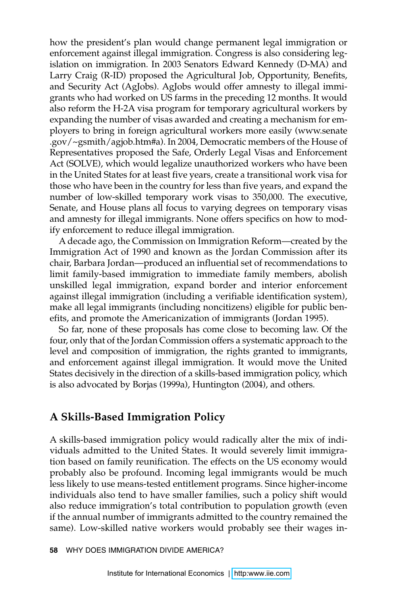how the president's plan would change permanent legal immigration or enforcement against illegal immigration. Congress is also considering legislation on immigration. In 2003 Senators Edward Kennedy (D-MA) and Larry Craig (R-ID) proposed the Agricultural Job, Opportunity, Benefits, and Security Act (AgJobs). AgJobs would offer amnesty to illegal immigrants who had worked on US farms in the preceding 12 months. It would also reform the H-2A visa program for temporary agricultural workers by expanding the number of visas awarded and creating a mechanism for employers to bring in foreign agricultural workers more easily (www.senate .gov/~gsmith/agjob.htm#a). In 2004, Democratic members of the House of Representatives proposed the Safe, Orderly Legal Visas and Enforcement Act (SOLVE), which would legalize unauthorized workers who have been in the United States for at least five years, create a transitional work visa for those who have been in the country for less than five years, and expand the number of low-skilled temporary work visas to 350,000. The executive, Senate, and House plans all focus to varying degrees on temporary visas and amnesty for illegal immigrants. None offers specifics on how to modify enforcement to reduce illegal immigration.

A decade ago, the Commission on Immigration Reform—created by the Immigration Act of 1990 and known as the Jordan Commission after its chair, Barbara Jordan—produced an influential set of recommendations to limit family-based immigration to immediate family members, abolish unskilled legal immigration, expand border and interior enforcement against illegal immigration (including a verifiable identification system), make all legal immigrants (including noncitizens) eligible for public benefits, and promote the Americanization of immigrants (Jordan 1995).

So far, none of these proposals has come close to becoming law. Of the four, only that of the Jordan Commission offers a systematic approach to the level and composition of immigration, the rights granted to immigrants, and enforcement against illegal immigration. It would move the United States decisively in the direction of a skills-based immigration policy, which is also advocated by Borjas (1999a), Huntington (2004), and others.

### **A Skills-Based Immigration Policy**

A skills-based immigration policy would radically alter the mix of individuals admitted to the United States. It would severely limit immigration based on family reunification. The effects on the US economy would probably also be profound. Incoming legal immigrants would be much less likely to use means-tested entitlement programs. Since higher-income individuals also tend to have smaller families, such a policy shift would also reduce immigration's total contribution to population growth (even if the annual number of immigrants admitted to the country remained the same). Low-skilled native workers would probably see their wages in-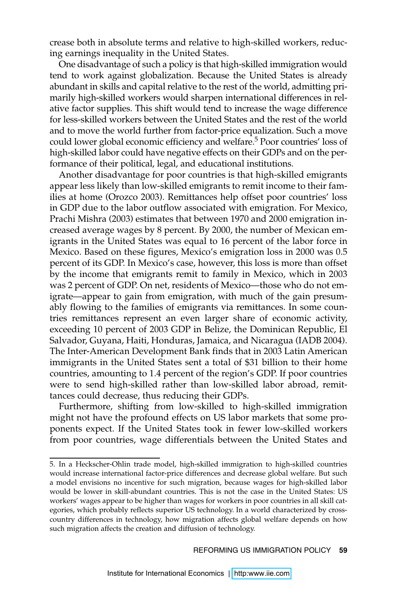crease both in absolute terms and relative to high-skilled workers, reducing earnings inequality in the United States.

One disadvantage of such a policy is that high-skilled immigration would tend to work against globalization. Because the United States is already abundant in skills and capital relative to the rest of the world, admitting primarily high-skilled workers would sharpen international differences in relative factor supplies. This shift would tend to increase the wage difference for less-skilled workers between the United States and the rest of the world and to move the world further from factor-price equalization. Such a move could lower global economic efficiency and welfare.5 Poor countries' loss of high-skilled labor could have negative effects on their GDPs and on the performance of their political, legal, and educational institutions.

Another disadvantage for poor countries is that high-skilled emigrants appear less likely than low-skilled emigrants to remit income to their families at home (Orozco 2003). Remittances help offset poor countries' loss in GDP due to the labor outflow associated with emigration. For Mexico, Prachi Mishra (2003) estimates that between 1970 and 2000 emigration increased average wages by 8 percent. By 2000, the number of Mexican emigrants in the United States was equal to 16 percent of the labor force in Mexico. Based on these figures, Mexico's emigration loss in 2000 was 0.5 percent of its GDP. In Mexico's case, however, this loss is more than offset by the income that emigrants remit to family in Mexico, which in 2003 was 2 percent of GDP. On net, residents of Mexico—those who do not emigrate—appear to gain from emigration, with much of the gain presumably flowing to the families of emigrants via remittances. In some countries remittances represent an even larger share of economic activity, exceeding 10 percent of 2003 GDP in Belize, the Dominican Republic, El Salvador, Guyana, Haiti, Honduras, Jamaica, and Nicaragua (IADB 2004). The Inter-American Development Bank finds that in 2003 Latin American immigrants in the United States sent a total of \$31 billion to their home countries, amounting to 1.4 percent of the region's GDP. If poor countries were to send high-skilled rather than low-skilled labor abroad, remittances could decrease, thus reducing their GDPs.

Furthermore, shifting from low-skilled to high-skilled immigration might not have the profound effects on US labor markets that some proponents expect. If the United States took in fewer low-skilled workers from poor countries, wage differentials between the United States and

REFORMING US IMMIGRATION POLICY **59** 

<sup>5.</sup> In a Heckscher-Ohlin trade model, high-skilled immigration to high-skilled countries would increase international factor-price differences and decrease global welfare. But such a model envisions no incentive for such migration, because wages for high-skilled labor would be lower in skill-abundant countries. This is not the case in the United States: US workers' wages appear to be higher than wages for workers in poor countries in all skill categories, which probably reflects superior US technology. In a world characterized by crosscountry differences in technology, how migration affects global welfare depends on how such migration affects the creation and diffusion of technology.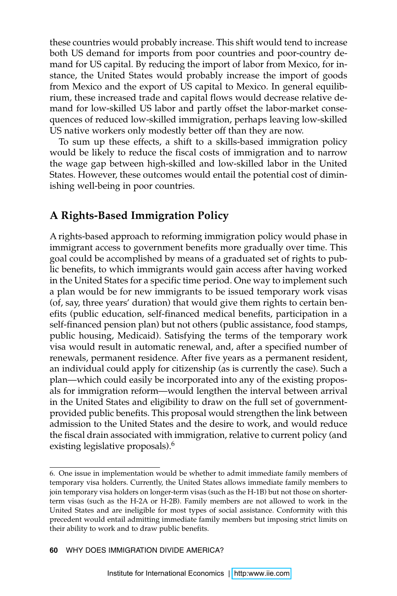these countries would probably increase. This shift would tend to increase both US demand for imports from poor countries and poor-country demand for US capital. By reducing the import of labor from Mexico, for instance, the United States would probably increase the import of goods from Mexico and the export of US capital to Mexico. In general equilibrium, these increased trade and capital flows would decrease relative demand for low-skilled US labor and partly offset the labor-market consequences of reduced low-skilled immigration, perhaps leaving low-skilled US native workers only modestly better off than they are now.

To sum up these effects, a shift to a skills-based immigration policy would be likely to reduce the fiscal costs of immigration and to narrow the wage gap between high-skilled and low-skilled labor in the United States. However, these outcomes would entail the potential cost of diminishing well-being in poor countries.

# **A Rights-Based Immigration Policy**

A rights-based approach to reforming immigration policy would phase in immigrant access to government benefits more gradually over time. This goal could be accomplished by means of a graduated set of rights to public benefits, to which immigrants would gain access after having worked in the United States for a specific time period. One way to implement such a plan would be for new immigrants to be issued temporary work visas (of, say, three years' duration) that would give them rights to certain benefits (public education, self-financed medical benefits, participation in a self-financed pension plan) but not others (public assistance, food stamps, public housing, Medicaid). Satisfying the terms of the temporary work visa would result in automatic renewal, and, after a specified number of renewals, permanent residence. After five years as a permanent resident, an individual could apply for citizenship (as is currently the case). Such a plan—which could easily be incorporated into any of the existing proposals for immigration reform—would lengthen the interval between arrival in the United States and eligibility to draw on the full set of governmentprovided public benefits. This proposal would strengthen the link between admission to the United States and the desire to work, and would reduce the fiscal drain associated with immigration, relative to current policy (and existing legislative proposals).<sup>6</sup>

<sup>6.</sup> One issue in implementation would be whether to admit immediate family members of temporary visa holders. Currently, the United States allows immediate family members to join temporary visa holders on longer-term visas (such as the H-1B) but not those on shorterterm visas (such as the H-2A or H-2B). Family members are not allowed to work in the United States and are ineligible for most types of social assistance. Conformity with this precedent would entail admitting immediate family members but imposing strict limits on their ability to work and to draw public benefits.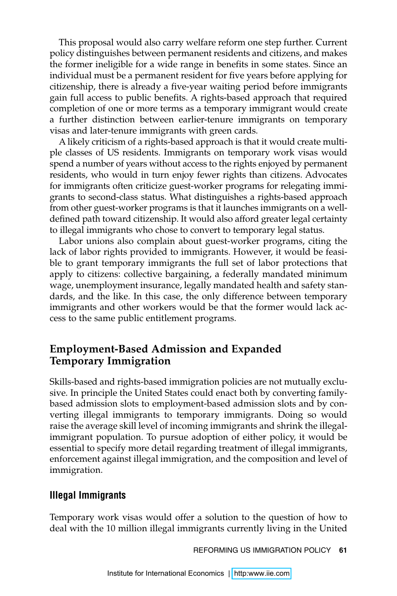This proposal would also carry welfare reform one step further. Current policy distinguishes between permanent residents and citizens, and makes the former ineligible for a wide range in benefits in some states. Since an individual must be a permanent resident for five years before applying for citizenship, there is already a five-year waiting period before immigrants gain full access to public benefits. A rights-based approach that required completion of one or more terms as a temporary immigrant would create a further distinction between earlier-tenure immigrants on temporary visas and later-tenure immigrants with green cards.

A likely criticism of a rights-based approach is that it would create multiple classes of US residents. Immigrants on temporary work visas would spend a number of years without access to the rights enjoyed by permanent residents, who would in turn enjoy fewer rights than citizens. Advocates for immigrants often criticize guest-worker programs for relegating immigrants to second-class status. What distinguishes a rights-based approach from other guest-worker programs is that it launches immigrants on a welldefined path toward citizenship. It would also afford greater legal certainty to illegal immigrants who chose to convert to temporary legal status.

Labor unions also complain about guest-worker programs, citing the lack of labor rights provided to immigrants. However, it would be feasible to grant temporary immigrants the full set of labor protections that apply to citizens: collective bargaining, a federally mandated minimum wage, unemployment insurance, legally mandated health and safety standards, and the like. In this case, the only difference between temporary immigrants and other workers would be that the former would lack access to the same public entitlement programs.

## **Employment-Based Admission and Expanded Temporary Immigration**

Skills-based and rights-based immigration policies are not mutually exclusive. In principle the United States could enact both by converting familybased admission slots to employment-based admission slots and by converting illegal immigrants to temporary immigrants. Doing so would raise the average skill level of incoming immigrants and shrink the illegalimmigrant population. To pursue adoption of either policy, it would be essential to specify more detail regarding treatment of illegal immigrants, enforcement against illegal immigration, and the composition and level of immigration.

#### **Illegal Immigrants**

Temporary work visas would offer a solution to the question of how to deal with the 10 million illegal immigrants currently living in the United

REFORMING US IMMIGRATION POLICY **61**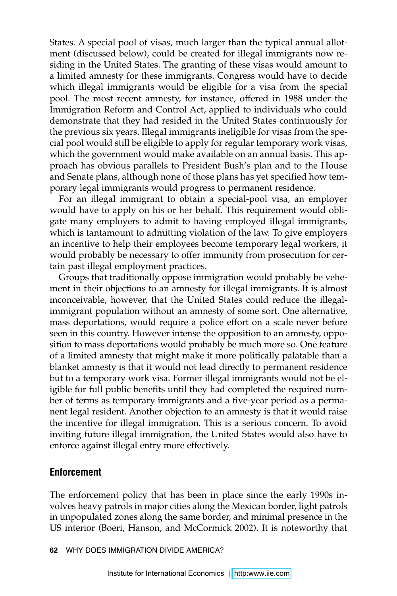States. A special pool of visas, much larger than the typical annual allotment (discussed below), could be created for illegal immigrants now residing in the United States. The granting of these visas would amount to a limited amnesty for these immigrants. Congress would have to decide which illegal immigrants would be eligible for a visa from the special pool. The most recent amnesty, for instance, offered in 1988 under the Immigration Reform and Control Act, applied to individuals who could demonstrate that they had resided in the United States continuously for the previous six years. Illegal immigrants ineligible for visas from the special pool would still be eligible to apply for regular temporary work visas, which the government would make available on an annual basis. This approach has obvious parallels to President Bush's plan and to the House and Senate plans, although none of those plans has yet specified how temporary legal immigrants would progress to permanent residence.

For an illegal immigrant to obtain a special-pool visa, an employer would have to apply on his or her behalf. This requirement would obligate many employers to admit to having employed illegal immigrants, which is tantamount to admitting violation of the law. To give employers an incentive to help their employees become temporary legal workers, it would probably be necessary to offer immunity from prosecution for certain past illegal employment practices.

Groups that traditionally oppose immigration would probably be vehement in their objections to an amnesty for illegal immigrants. It is almost inconceivable, however, that the United States could reduce the illegalimmigrant population without an amnesty of some sort. One alternative, mass deportations, would require a police effort on a scale never before seen in this country. However intense the opposition to an amnesty, opposition to mass deportations would probably be much more so. One feature of a limited amnesty that might make it more politically palatable than a blanket amnesty is that it would not lead directly to permanent residence but to a temporary work visa. Former illegal immigrants would not be eligible for full public benefits until they had completed the required number of terms as temporary immigrants and a five-year period as a permanent legal resident. Another objection to an amnesty is that it would raise the incentive for illegal immigration. This is a serious concern. To avoid inviting future illegal immigration, the United States would also have to enforce against illegal entry more effectively.

### **Enforcement**

The enforcement policy that has been in place since the early 1990s involves heavy patrols in major cities along the Mexican border, light patrols in unpopulated zones along the same border, and minimal presence in the US interior (Boeri, Hanson, and McCormick 2002). It is noteworthy that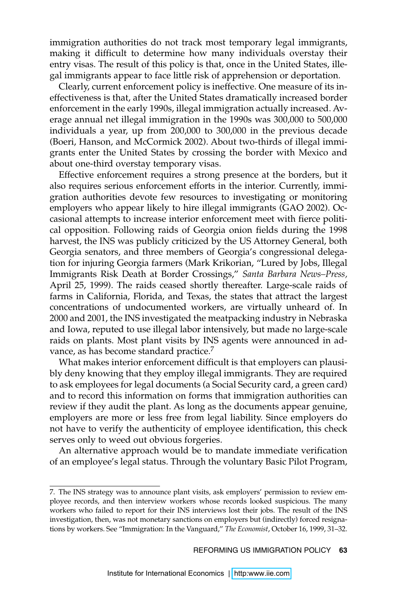immigration authorities do not track most temporary legal immigrants, making it difficult to determine how many individuals overstay their entry visas. The result of this policy is that, once in the United States, illegal immigrants appear to face little risk of apprehension or deportation.

Clearly, current enforcement policy is ineffective. One measure of its ineffectiveness is that, after the United States dramatically increased border enforcement in the early 1990s, illegal immigration actually increased. Average annual net illegal immigration in the 1990s was 300,000 to 500,000 individuals a year, up from 200,000 to 300,000 in the previous decade (Boeri, Hanson, and McCormick 2002). About two-thirds of illegal immigrants enter the United States by crossing the border with Mexico and about one-third overstay temporary visas.

Effective enforcement requires a strong presence at the borders, but it also requires serious enforcement efforts in the interior. Currently, immigration authorities devote few resources to investigating or monitoring employers who appear likely to hire illegal immigrants (GAO 2002). Occasional attempts to increase interior enforcement meet with fierce political opposition. Following raids of Georgia onion fields during the 1998 harvest, the INS was publicly criticized by the US Attorney General, both Georgia senators, and three members of Georgia's congressional delegation for injuring Georgia farmers (Mark Krikorian, "Lured by Jobs, Illegal Immigrants Risk Death at Border Crossings," *Santa Barbara News–Press,*  April 25, 1999). The raids ceased shortly thereafter. Large-scale raids of farms in California, Florida, and Texas, the states that attract the largest concentrations of undocumented workers, are virtually unheard of. In 2000 and 2001, the INS investigated the meatpacking industry in Nebraska and Iowa, reputed to use illegal labor intensively, but made no large-scale raids on plants. Most plant visits by INS agents were announced in advance, as has become standard practice.<sup>7</sup>

What makes interior enforcement difficult is that employers can plausibly deny knowing that they employ illegal immigrants. They are required to ask employees for legal documents (a Social Security card, a green card) and to record this information on forms that immigration authorities can review if they audit the plant. As long as the documents appear genuine, employers are more or less free from legal liability. Since employers do not have to verify the authenticity of employee identification, this check serves only to weed out obvious forgeries.

An alternative approach would be to mandate immediate verification of an employee's legal status. Through the voluntary Basic Pilot Program,

<sup>7.</sup> The INS strategy was to announce plant visits, ask employers' permission to review employee records, and then interview workers whose records looked suspicious. The many workers who failed to report for their INS interviews lost their jobs. The result of the INS investigation, then, was not monetary sanctions on employers but (indirectly) forced resignations by workers. See "Immigration: In the Vanguard," *The Economist*, October 16, 1999, 31–32.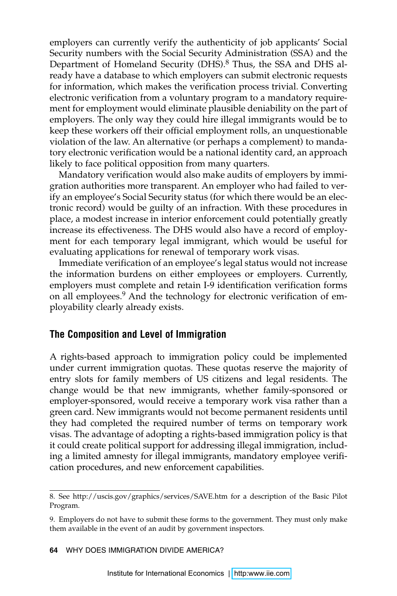employers can currently verify the authenticity of job applicants' Social Security numbers with the Social Security Administration (SSA) and the Department of Homeland Security (DHS).<sup>8</sup> Thus, the SSA and DHS already have a database to which employers can submit electronic requests for information, which makes the verification process trivial. Converting electronic verification from a voluntary program to a mandatory requirement for employment would eliminate plausible deniability on the part of employers. The only way they could hire illegal immigrants would be to keep these workers off their official employment rolls, an unquestionable violation of the law. An alternative (or perhaps a complement) to mandatory electronic verification would be a national identity card, an approach likely to face political opposition from many quarters.

Mandatory verification would also make audits of employers by immigration authorities more transparent. An employer who had failed to verify an employee's Social Security status (for which there would be an electronic record) would be guilty of an infraction. With these procedures in place, a modest increase in interior enforcement could potentially greatly increase its effectiveness. The DHS would also have a record of employment for each temporary legal immigrant, which would be useful for evaluating applications for renewal of temporary work visas.

Immediate verification of an employee's legal status would not increase the information burdens on either employees or employers. Currently, employers must complete and retain I-9 identification verification forms on all employees.<sup>9</sup> And the technology for electronic verification of employability clearly already exists.

#### **The Composition and Level of Immigration**

A rights-based approach to immigration policy could be implemented under current immigration quotas. These quotas reserve the majority of entry slots for family members of US citizens and legal residents. The change would be that new immigrants, whether family-sponsored or employer-sponsored, would receive a temporary work visa rather than a green card. New immigrants would not become permanent residents until they had completed the required number of terms on temporary work visas. The advantage of adopting a rights-based immigration policy is that it could create political support for addressing illegal immigration, including a limited amnesty for illegal immigrants, mandatory employee verification procedures, and new enforcement capabilities.

<sup>8.</sup> See http://uscis.gov/graphics/services/SAVE.htm for a description of the Basic Pilot Program.

<sup>9.</sup> Employers do not have to submit these forms to the government. They must only make them available in the event of an audit by government inspectors.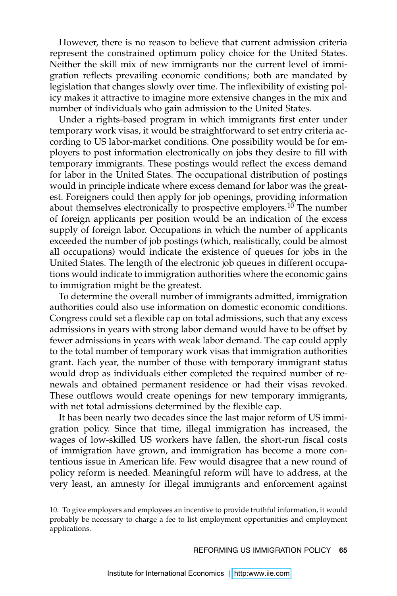However, there is no reason to believe that current admission criteria represent the constrained optimum policy choice for the United States. Neither the skill mix of new immigrants nor the current level of immigration reflects prevailing economic conditions; both are mandated by legislation that changes slowly over time. The inflexibility of existing policy makes it attractive to imagine more extensive changes in the mix and number of individuals who gain admission to the United States.

Under a rights-based program in which immigrants first enter under temporary work visas, it would be straightforward to set entry criteria according to US labor-market conditions. One possibility would be for employers to post information electronically on jobs they desire to fill with temporary immigrants. These postings would reflect the excess demand for labor in the United States. The occupational distribution of postings would in principle indicate where excess demand for labor was the greatest. Foreigners could then apply for job openings, providing information about themselves electronically to prospective employers.<sup>10</sup> The number of foreign applicants per position would be an indication of the excess supply of foreign labor. Occupations in which the number of applicants exceeded the number of job postings (which, realistically, could be almost all occupations) would indicate the existence of queues for jobs in the United States. The length of the electronic job queues in different occupations would indicate to immigration authorities where the economic gains to immigration might be the greatest.

To determine the overall number of immigrants admitted, immigration authorities could also use information on domestic economic conditions. Congress could set a flexible cap on total admissions, such that any excess admissions in years with strong labor demand would have to be offset by fewer admissions in years with weak labor demand. The cap could apply to the total number of temporary work visas that immigration authorities grant. Each year, the number of those with temporary immigrant status would drop as individuals either completed the required number of renewals and obtained permanent residence or had their visas revoked. These outflows would create openings for new temporary immigrants, with net total admissions determined by the flexible cap.

It has been nearly two decades since the last major reform of US immigration policy. Since that time, illegal immigration has increased, the wages of low-skilled US workers have fallen, the short-run fiscal costs of immigration have grown, and immigration has become a more contentious issue in American life. Few would disagree that a new round of policy reform is needed. Meaningful reform will have to address, at the very least, an amnesty for illegal immigrants and enforcement against

<sup>10.</sup> To give employers and employees an incentive to provide truthful information, it would probably be necessary to charge a fee to list employment opportunities and employment applications.